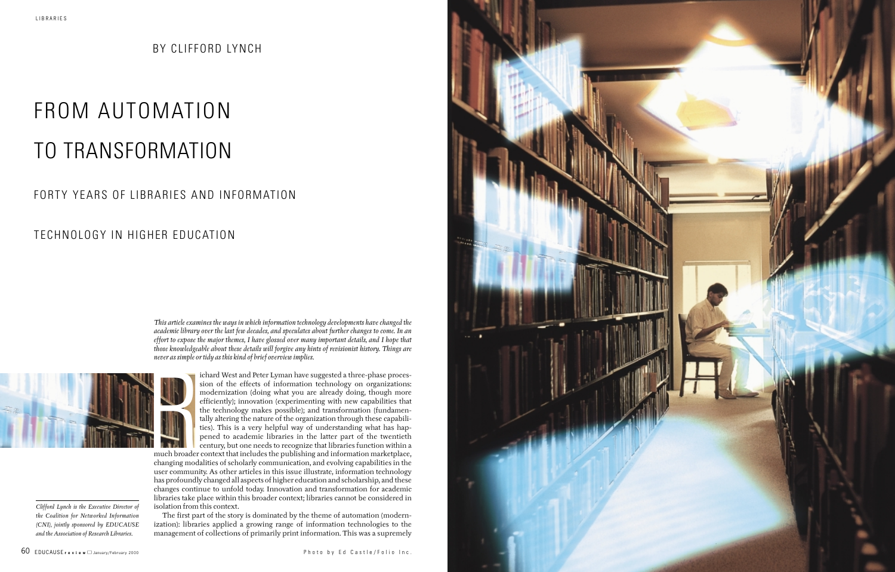*This article examines the ways in which information technology developments have changed the academic library over the last few decades, and speculates about further changes to come. In an effort to expose the major themes, I have glossed over many important details, and I hope that those knowledgeable about these details will forgive any hints of revisionist history. Things are never as simple or tidy as this kind of brief overview implies.* 



ichard West and Peter Lyman have suggested a three-phase procession of the effects of information technology on organizations: modernization (doing what you are already doing, though more efficiently); innovation (experimenting with new capabilities that the technology makes possible); and transformation (fundamentally altering the nature of the organization through these capabilities). This is a very helpful way of understanding what has happened to academic libraries in the latter part of the twentieth century, but one needs to recognize that libraries function within a

much broader context that includes the publishing and information marketplace, changing modalities of scholarly communication, and evolving capabilities in the user community. As other articles in this issue illustrate, information technology has profoundly changed all aspects of higher education and scholarship, and these changes continue to unfold today. Innovation and transformation for academic libraries take place within this broader context; libraries cannot be considered in isolation from this context.

The first part of the story is dominated by the theme of automation (modernization): libraries applied a growing range of information technologies to the management of collections of primarily print information. This was a supremely

# FROM AUTOMATION TO TRANSFORMATION

## FORTY YEARS OF LIBRARIES AND INFORMATION

## TECHNOLOGY IN HIGHER EDUCATION

BY CLIFFORD LYNCH

*Clifford Lynch is the Executive Director of the Coalition for Networked Information (CNI), jointly sponsored by EDUCAUSE and the Association of Research Libraries.*

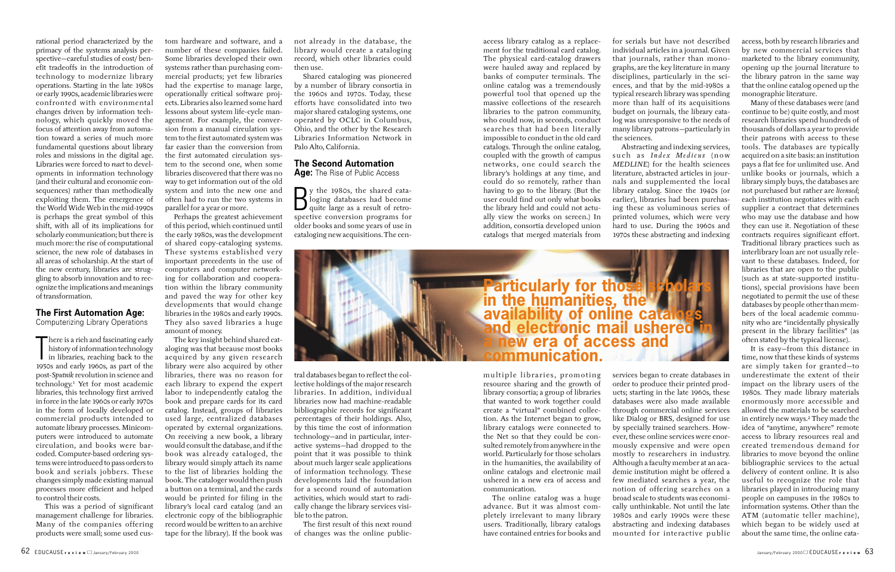access library catalog as a replacement for the traditional card catalog. The physical card-catalog drawers were hauled away and replaced by banks of computer terminals. The online catalog was a tremendously powerful tool that opened up the massive collections of the research libraries to the patron community, who could now, in seconds, conduct searches that had been literally impossible to conduct in the old card catalogs. Through the online catalog, coupled with the growth of campus networks, one could search the library's holdings at any time, and could do so remotely, rather than having to go to the library. (But the user could find out only what books the library held and could not actually view the works on screen.) In addition, consortia developed union catalogs that merged materials from

multiple libraries, promoting resource sharing and the growth of library consortia; a group of libraries that wanted to work together could create a "virtual" combined collection. As the Internet began to grow, library catalogs were connected to the Net so that they could be consulted remotely from anywhere in the world. Particularly for those scholars in the humanities, the availability of online catalogs and electronic mail ushered in a new era of access and communication.

The online catalog was a huge advance. But it was almost completely irrelevant to many library users. Traditionally, library catalogs have contained entries for books and

for serials but have not described individual articles in a journal. Given that journals, rather than monographs, are the key literature in many disciplines, particularly in the sciences, and that by the mid-1980s a typical research library was spending more than half of its acquisitions budget on journals, the library catalog was unresponsive to the needs of many library patrons—particularly in the sciences.

Abstracting and indexing services, such as *Index Medicus* (now *MEDLINE*) for the health sciences literature, abstracted articles in journals and supplemented the local library catalog. Since the 1940s (or earlier), libraries had been purchasing these as voluminous series of printed volumes, which were very hard to use. During the 1960s and 1970s these abstracting and indexing

services began to create databases in order to produce their printed products; starting in the late 1960s, these databases were also made available through commercial online services like Dialog or BRS, designed for use by specially trained searchers. However, these online services were enormously expensive and were open mostly to researchers in industry. Although a faculty member at an academic institution might be offered a few mediated searches a year, the notion of offering searches on a broad scale to students was economically unthinkable. Not until the late 1980s and early 1990s were these abstracting and indexing databases mounted for interactive public

access, both by research libraries and by new commercial services that marketed to the library community, opening up the journal literature to the library patron in the same way that the online catalog opened up the monographic literature.

There is a rich and tascinating early<br>history of information technology<br>in libraries, reaching back to the<br>1050s and early 1060s, as part of the There is a rich and fascinating early history of information technology 1950s and early 1960s, as part of the post-*Sputnik* revolution in science and technology.1 Yet for most academic libraries, this technology first arrived in force in the late 1960s or early 1970s in the form of locally developed or commercial products intended to automate library processes. Minicomputers were introduced to automate circulation, and books were barcoded. Computer-based ordering systems were introduced to pass orders to book and serials jobbers. These changes simply made existing manual processes more efficient and helped to control their costs.

Many of these databases were (and continue to be) quite costly, and most research libraries spend hundreds of thousands of dollars a year to provide their patrons with access to these tools. The databases are typically acquired on a site basis: an institution pays a flat fee for unlimited use. And unlike books or journals, which a library simply buys, the databases are not purchased but rather are *licensed*; each institution negotiates with each supplier a contract that determines who may use the database and how they can use it. Negotiation of these contracts requires significant effort. Traditional library practices such as interlibrary loan are not usually relevant to these databases. Indeed, for libraries that are open to the public (such as at state-supported institutions), special provisions have been negotiated to permit the use of these databases by people other than members of the local academic community who are "incidentally physically present in the library facilities" (as often stated by the typical license).

It is easy—from this distance in time, now that these kinds of systems are simply taken for granted—to underestimate the extent of their impact on the library users of the 1980s. They made library materials enormously more accessible and allowed the materials to be searched in entirely new ways.2 They made the idea of "anytime, anywhere" remote access to library resources real and created tremendous demand for libraries to move beyond the online bibliographic services to the actual delivery of content online. It is also useful to recognize the role that libraries played in introducing many people on campuses in the 1980s to information systems. Other than the ATM (automatic teller machine), which began to be widely used at about the same time, the online cata-

B<sub>spec</sub> y the 1980s, the shared cataloging databases had become quite large as a result of retrospective conversion programs for older books and some years of use in cataloging new acquisitions. The cen-

rational period characterized by the primacy of the systems analysis perspective—careful studies of cost/ benefit tradeoffs in the introduction of technology to modernize library operations. Starting in the late 1980s or early 1990s, academic libraries were confronted with environmental changes driven by information technology, which quickly moved the focus of attention away from automation toward a series of much more fundamental questions about library roles and missions in the digital age. Libraries were forced to *react* to developments in information technology (and their cultural and economic consequences) rather than methodically exploiting them. The emergence of the World Wide Web in the mid-1990s is perhaps the great symbol of this shift, with all of its implications for scholarly communication; but there is much more: the rise of computational science, the new role of databases in all areas of scholarship. At the start of the new century, libraries are struggling to absorb innovation and to recognize the implications and meanings of transformation.

### **The First Automation Age:**

Computerizing Library Operations

This was a period of significant management challenge for libraries. Many of the companies offering products were small; some used custom hardware and software, and a number of these companies failed. Some libraries developed their own systems rather than purchasing commercial products; yet few libraries had the expertise to manage large, operationally critical software projects. Libraries also learned some hard lessons about system life-cycle management. For example, the conversion from a manual circulation system to the first automated system was far easier than the conversion from the first automated circulation system to the second one, when some libraries discovered that there was no way to get information out of the old system and into the new one and often had to run the two systems in parallel for a year or more.

Perhaps the greatest achievement of this period, which continued until the early 1980s, was the development of shared copy-cataloging systems. These systems established very important precedents in the use of computers and computer networking for collaboration and cooperation within the library community and paved the way for other key developments that would change libraries in the 1980s and early 1990s. They also saved libraries a huge amount of money.

The key insight behind shared cataloging was that because most books acquired by any given research library were also acquired by other libraries, there was no reason for each library to expend the expert labor to independently catalog the book and prepare cards for its card catalog. Instead, groups of libraries used large, centralized databases operated by external organizations. On receiving a new book, a library would consult the database, and if the book was already cataloged, the library would simply attach its name to the list of libraries holding the book. The cataloger would then push a button on a terminal, and the cards would be printed for filing in the library's local card catalog (and an electronic copy of the bibliographic record would be written to an archive tape for the library). If the book was

not already in the database, the library would create a cataloging record, which other libraries could then use.

Shared cataloging was pioneered by a number of library consortia in the 1960s and 1970s. Today, these efforts have consolidated into two major shared cataloging systems, one operated by OCLC in Columbus, Ohio, and the other by the Research Libraries Information Network in Palo Alto, California.

### **The Second Automation**

**Age:** The Rise of Public Access

tral databases began to reflect the collective holdings of the major research libraries. In addition, individual libraries now had machine-readable bibliographic records for significant percentages of their holdings. Also, by this time the cost of information technology—and in particular, interactive systems—had dropped to the point that it was possible to think about much larger scale applications of information technology. These developments laid the foundation for a second round of automation activities, which would start to radically change the library services visible to the patron.

The first result of this next round of changes was the online public-

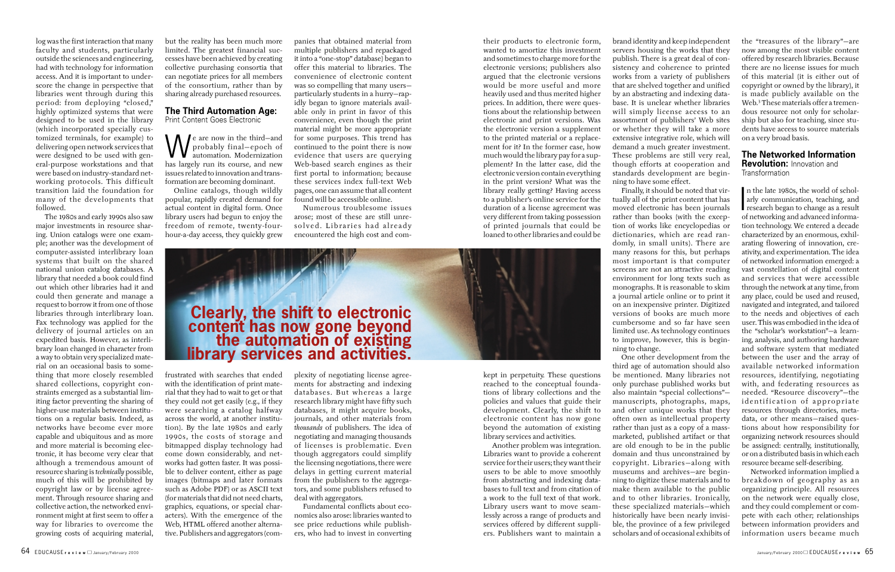their products to electronic form, wanted to amortize this investment and sometimes to charge more for the electronic versions; publishers also argued that the electronic versions would be more useful and more heavily used and thus merited higher prices. In addition, there were questions about the relationship between electronic and print versions. Was the electronic version a supplement to the printed material or a replacement for it? In the former case, how much would the library pay for a supplement? In the latter case, did the electronic version contain everything in the print version? What was the library really getting? Having access to a publisher's online service for the duration of a license agreement was very different from taking possession of printed journals that could be loaned to other libraries and could be

kept in perpetuity. These questions reached to the conceptual foundations of library collections and the policies and values that guide their development. Clearly, the shift to electronic content has now gone beyond the automation of existing library services and activities.

Another problem was integration. Libraries want to provide a coherent service for their users; they want their users to be able to move smoothly from abstracting and indexing databases to full text and from citation of a work to the full text of that work. Library users want to move seamlessly across a range of products and services offered by different suppliers. Publishers want to maintain a

brand identity and keep independent servers housing the works that they publish. There is a great deal of consistency and coherence to printed works from a variety of publishers that are shelved together and unified by an abstracting and indexing database. It is unclear whether libraries will simply license access to an assortment of publishers' Web sites or whether they will take a more extensive integrative role, which will demand a much greater investment. These problems are still very real, though efforts at cooperation and standards development are begin-

### **The Networked Information Revolution:** Innovation and

**Transformation** 



Finally, it should be noted that virtually all of the print content that has moved electronic has been journals rather than books (with the exception of works like encyclopedias or dictionaries, which are read randomly, in small units). There are many reasons for this, but perhaps most important is that computer screens are not an attractive reading environment for long texts such as monographs. It is reasonable to skim a journal article online or to print it on an inexpensive printer. Digitized versions of books are much more cumbersome and so far have seen limited use. As technology continues to improve, however, this is beginning to change.

 $\overline{\phantom{0}}$ n the late 1980s, the world of scholarly communication, teaching, and research began to change as a result of networking and advanced information technology. We entered a decade characterized by an enormous, exhilarating flowering of innovation, creativity, and experimentation. The idea of networked information emerged: a vast constellation of digital content and services that were accessible through the network at any time, from any place, could be used and reused, navigated and integrated, and tailored to the needs and objectives of each user. This was embodied in the idea of the "scholar's workstation"—a learning, analysis, and authoring hardware and software system that mediated between the user and the array of available networked information resources, identifying, negotiating with, and federating resources as needed. "Resource discovery"—the identification of appropriate resources through directories, metadata, or other means—raised questions about how responsibility for organizing network resources should be assigned: centrally, institutionally, or on a distributed basis in which each resource became self-describing.

One other development from the third age of automation should also be mentioned. Many libraries not only purchase published works but also maintain "special collections" manuscripts, photographs, maps, and other unique works that they often own as intellectual property rather than just as a copy of a massmarketed, published artifact or that are old enough to be in the public domain and thus unconstrained by copyright. Libraries—along with museums and archives—are beginning to digitize these materials and to make them available to the public and to other libraries. Ironically, these specialized materials—which historically have been nearly invisible, the province of a few privileged scholars and of occasional exhibits of

the "treasures of the library"—are now among the most visible content offered by research libraries. Because there are no license issues for much of this material (it is either out of copyright or owned by the library), it is made publicly available on the Web.<sup>3</sup> These materials offer a tremendous resource not only for scholarship but also for teaching, since students have access to source materials on a very broad basis.

 $\bigvee$  e are now in the third—and<br>probably final—epoch of<br>has largely run its course, and new probably final—epoch of automation. Modernization has largely run its course, and new issues related to innovation and transformation are becoming dominant.

> Networked information implied a breakdown of geography as an organizing principle. All resources on the network were equally close, and they could complement or compete with each other; relationships between information providers and information users became much

log was the first interaction that many faculty and students, particularly outside the sciences and engineering, had with technology for information access. And it is important to underscore the change in perspective that libraries went through during this period: from deploying "closed," highly optimized systems that were designed to be used in the library (which incorporated specially customized terminals, for example) to delivering open network services that were designed to be used with general-purpose workstations and that were based on industry-standard networking protocols. This difficult transition laid the foundation for many of the developments that followed.

The 1980s and early 1990s also saw major investments in resource sharing. Union catalogs were one example; another was the development of computer-assisted interlibrary loan systems that built on the shared national union catalog databases. A library that needed a book could find out which other libraries had it and could then generate and manage a request to borrow it from one of those libraries through interlibrary loan. Fax technology was applied for the delivery of journal articles on an expedited basis. However, as interlibrary loan changed in character from a way to obtain very specialized material on an occasional basis to something that more closely resembled shared collections, copyright constraints emerged as a substantial limiting factor preventing the sharing of higher-use materials between institutions on a regular basis. Indeed, as networks have become ever more capable and ubiquitous and as more and more material is becoming electronic, it has become very clear that although a tremendous amount of resource sharing is *technically* possible, much of this will be prohibited by copyright law or by license agreement. Through resource sharing and collective action, the networked environment might at first seem to offer a way for libraries to overcome the growing costs of acquiring material,

but the reality has been much more limited. The greatest financial successes have been achieved by creating collective purchasing consortia that can negotiate prices for all members of the consortium, rather than by sharing already purchased resources.

#### **The Third Automation Age:** Print Content Goes Electronic

Online catalogs, though wildly popular, rapidly created demand for actual content in digital form. Once library users had begun to enjoy the freedom of remote, twenty-fourhour-a-day access, they quickly grew

frustrated with searches that ended with the identification of print material that they had to wait to get or that they could not get easily (e.g., if they were searching a catalog halfway across the world, at another institution). By the late 1980s and early 1990s, the costs of storage and bitmapped display technology had come down considerably, and networks had gotten faster. It was possible to deliver content, either as page images (bitmaps and later formats such as Adobe PDF) or as ASCII text (for materials that did not need charts, graphics, equations, or special characters). With the emergence of the Web, HTML offered another alternative. Publishers and aggregators (com-

panies that obtained material from multiple publishers and repackaged it into a "one-stop" database) began to offer this material to libraries. The convenience of electronic content was so compelling that many users particularly students in a hurry—rapidly began to ignore materials available only in print in favor of this convenience, even though the print material might be more appropriate for some purposes. This trend has continued to the point there is now evidence that users are querying Web-based search engines as their first portal to information; because these services index full-text Web pages, one can assume that all content found will be accessible online.

Numerous troublesome issues arose; most of these are still unresolved. Libraries had already encountered the high cost and com-

plexity of negotiating license agreements for abstracting and indexing databases. But whereas a large research library might have fifty such databases, it might acquire books, journals, and other materials from *thousands* of publishers. The idea of negotiating and managing thousands of licenses is problematic. Even though aggregators could simplify the licensing negotiations, there were delays in getting current material from the publishers to the aggregators, and some publishers refused to deal with aggregators.

Fundamental conflicts about economics also arose: libraries wanted to see price reductions while publishers, who had to invest in converting

# **Clearly, the shift to electronic content has now gone beyond the automation of existing library services and activities.**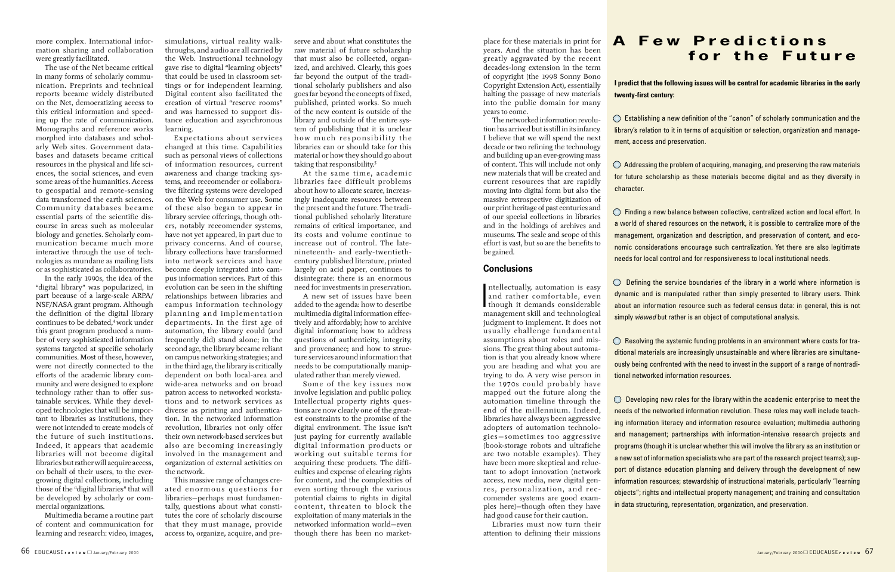place for these materials in print for years. And the situation has been greatly aggravated by the recent decades-long extension in the term of copyright (the 1998 Sonny Bono Copyright Extension Act), essentially halting the passage of new materials into the public domain for many years to come.

The networked information revolution has arrived but is still in its infancy. I believe that we will spend the next decade or two refining the technology and building up an ever-growing mass of content. This will include not only new materials that will be created and current resources that are rapidly moving into digital form but also the massive retrospective digitization of our print heritage of past centuries and of our special collections in libraries and in the holdings of archives and museums. The scale and scope of this effort is vast, but so are the benefits to be gained.

### **Conclusions**

 $\prod_{\substack{m}}$ ntellectually, automation is easy and rather comfortable, even though it demands considerable management skill and technological judgment to implement. It does not usually challenge fundamental assumptions about roles and missions. The great thing about automation is that you already know where you are heading and what you are trying to do. A very wise person in the 1970s could probably have mapped out the future along the automation timeline through the end of the millennium. Indeed, libraries have always been aggressive adopters of automation technologies—sometimes too aggressive (book-storage robots and ultrafiche are two notable examples). They have been more skeptical and reluctant to adopt innovation (network access, new media, new digital genres, personalization, and reccomender systems are good examples here)—though often they have had good cause for their caution.

 $\bigcirc$  Establishing a new definition of the "canon" of scholarly communication and the library's relation to it in terms of acquisition or selection, organization and management, access and preservation.

 $\bigcirc$  Addressing the problem of acquiring, managing, and preserving the raw materials for future scholarship as these materials become digital and as they diversify in

 $\bigcirc$  Defining the service boundaries of the library in a world where information is dynamic and is manipulated rather than simply presented to library users. Think about an information resource such as federal census data: in general, this is not simply *viewed* but rather is an object of computational analysis.

 $\bigcirc$  Resolving the systemic funding problems in an environment where costs for traditional materials are increasingly unsustainable and where libraries are simultaneously being confronted with the need to invest in the support of a range of nontraditional networked information resources.

Libraries must now turn their attention to defining their missions

**I predict that the following issues will be central for academic libraries in the early twenty-first century:**

 $\bigcirc$  Developing new roles for the library within the academic enterprise to meet the needs of the networked information revolution. These roles may well include teaching information literacy and information resource evaluation; multimedia authoring and management; partnerships with information-intensive research projects and programs (though it is unclear whether this will involve the library as an institution or a new set of information specialists who are part of the research project teams); support of distance education planning and delivery through the development of new information resources; stewardship of instructional materials, particularly "learning objects"; rights and intellectual property management; and training and consultation in data structuring, representation, organization, and preservation.

character.

Finding a new balance between collective, centralized action and local effort. In a world of shared resources on the network, it is possible to centralize more of the management, organization and description, and preservation of content, and economic considerations encourage such centralization. Yet there are also legitimate needs for local control and for responsiveness to local institutional needs.

serve and about what constitutes the raw material of future scholarship that must also be collected, organized, and archived. Clearly, this goes far beyond the output of the traditional scholarly publishers and also goes far beyond the concepts of fixed, published, printed works. So much of the new content is outside of the library and outside of the entire system of publishing that it is unclear how much responsibility the libraries can or should take for this material or how they should go about taking that responsibility.<sup>5</sup>

## **A Few Predictions for the Future**

more complex. International information sharing and collaboration were greatly facilitated.

The use of the Net became critical in many forms of scholarly communication. Preprints and technical reports became widely distributed on the Net, democratizing access to this critical information and speeding up the rate of communication. Monographs and reference works morphed into databases and scholarly Web sites. Government databases and datasets became critical resources in the physical and life sciences, the social sciences, and even some areas of the humanities. Access to geospatial and remote-sensing data transformed the earth sciences. Community databases became essential parts of the scientific discourse in areas such as molecular biology and genetics. Scholarly communication became much more interactive through the use of technologies as mundane as mailing lists or as sophisticated as collaboratories.

In the early 1990s, the idea of the "digital library" was popularized, in part because of a large-scale ARPA/ NSF/NASA grant program. Although the definition of the digital library continues to be debated,<sup>4</sup> work under this grant program produced a number of very sophisticated information systems targeted at specific scholarly communities. Most of these, however, were not directly connected to the efforts of the academic library community and were designed to explore technology rather than to offer sustainable services. While they developed technologies that will be important to libraries as institutions, they were not intended to create models of the future of such institutions. Indeed, it appears that academic libraries will not become digital libraries but rather will acquire access, on behalf of their users, to the evergrowing digital collections, including those of the "digital libraries" that will be developed by scholarly or commercial organizations.

Multimedia became a routine part of content and communication for learning and research: video, images,

simulations, virtual reality walkthroughs, and audio are all carried by the Web. Instructional technology gave rise to digital "learning objects" that could be used in classroom settings or for independent learning. Digital content also facilitated the creation of virtual "reserve rooms" and was harnessed to support distance education and asynchronous learning.

Expectations about services changed at this time. Capabilities such as personal views of collections of information resources, current awareness and change tracking systems, and reccomender or collaborative filtering systems were developed on the Web for consumer use. Some of these also began to appear in library service offerings, though others, notably reccomender systems, have not yet appeared, in part due to privacy concerns. And of course, library collections have transformed into network services and have become deeply integrated into campus information services. Part of this evolution can be seen in the shifting relationships between libraries and campus information technology planning and implementation departments. In the first age of automation, the library could (and frequently did) stand alone; in the second age, the library became reliant on campus networking strategies; and in the third age, the library is critically dependent on both local-area and wide-area networks and on broad patron access to networked workstations and to network services as diverse as printing and authentication. In the networked information revolution, libraries not only offer their own network-based services but also are becoming increasingly involved in the management and organization of external activities on the network.

This massive range of changes created enormous questions for libraries—perhaps most fundamentally, questions about what constitutes the core of scholarly discourse that they must manage, provide access to, organize, acquire, and pre-

At the same time, academic libraries face difficult problems about how to allocate scarce, increasingly inadequate resources between the present and the future. The traditional published scholarly literature remains of critical importance, and its costs and volume continue to increase out of control. The latenineteenth- and early-twentiethcentury published literature, printed largely on acid paper, continues to disintegrate: there is an enormous need for investments in preservation.

A new set of issues have been added to the agenda: how to describe multimedia digital information effectively and affordably; how to archive digital information; how to address questions of authenticity, integrity, and provenance; and how to structure services around information that needs to be computationally manipulated rather than merely viewed.

Some of the key issues now involve legislation and public policy. Intellectual property rights questions are now clearly one of the greatest constraints to the promise of the digital environment. The issue isn't just paying for currently available digital information products or working out suitable terms for acquiring these products. The difficulties and expense of clearing rights for content, and the complexities of even sorting through the various potential claims to rights in digital content, threaten to block the exploitation of many materials in the networked information world—even though there has been no market-